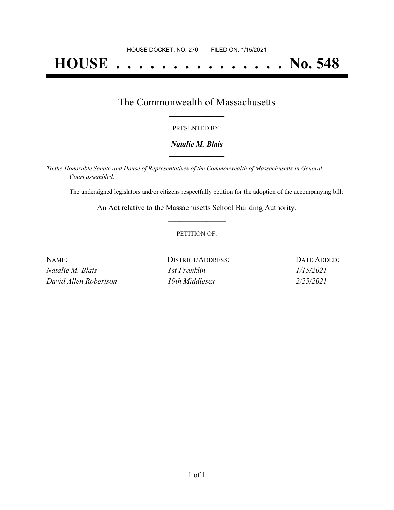# **HOUSE . . . . . . . . . . . . . . . No. 548**

## The Commonwealth of Massachusetts **\_\_\_\_\_\_\_\_\_\_\_\_\_\_\_\_\_**

#### PRESENTED BY:

#### *Natalie M. Blais* **\_\_\_\_\_\_\_\_\_\_\_\_\_\_\_\_\_**

*To the Honorable Senate and House of Representatives of the Commonwealth of Massachusetts in General Court assembled:*

The undersigned legislators and/or citizens respectfully petition for the adoption of the accompanying bill:

An Act relative to the Massachusetts School Building Authority. **\_\_\_\_\_\_\_\_\_\_\_\_\_\_\_**

#### PETITION OF:

| Name:                 | DISTRICT/ADDRESS: | Date Added <sup>.</sup> |
|-----------------------|-------------------|-------------------------|
| Natalie M. Blais      | 1st Franklin      |                         |
| David Allen Robertson | 19th Middlesex    |                         |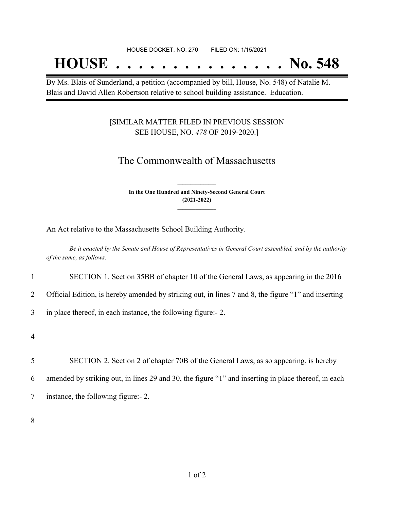## **HOUSE . . . . . . . . . . . . . . . No. 548**

By Ms. Blais of Sunderland, a petition (accompanied by bill, House, No. 548) of Natalie M. Blais and David Allen Robertson relative to school building assistance. Education.

### [SIMILAR MATTER FILED IN PREVIOUS SESSION SEE HOUSE, NO. *478* OF 2019-2020.]

## The Commonwealth of Massachusetts

**In the One Hundred and Ninety-Second General Court (2021-2022) \_\_\_\_\_\_\_\_\_\_\_\_\_\_\_**

**\_\_\_\_\_\_\_\_\_\_\_\_\_\_\_**

An Act relative to the Massachusetts School Building Authority.

Be it enacted by the Senate and House of Representatives in General Court assembled, and by the authority *of the same, as follows:*

1 SECTION 1. Section 35BB of chapter 10 of the General Laws, as appearing in the 2016

2 Official Edition, is hereby amended by striking out, in lines 7 and 8, the figure "1" and inserting

3 in place thereof, in each instance, the following figure:- 2.

4

5 SECTION 2. Section 2 of chapter 70B of the General Laws, as so appearing, is hereby 6 amended by striking out, in lines 29 and 30, the figure "1" and inserting in place thereof, in each 7 instance, the following figure:- 2.

8